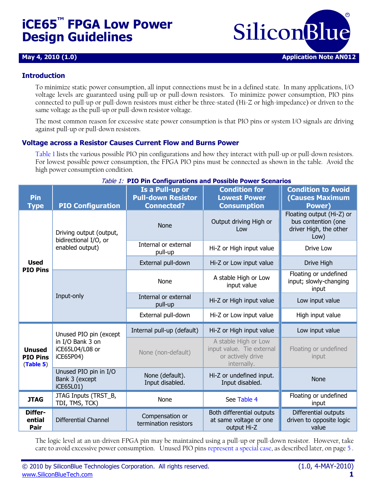# **iCE65™ FPGA Low Power Design Guidelines**



#### **Introduction**

To minimize static power consumption, all input connections must be in a defined state. In many applications, I/O voltage levels are guaranteed using pull-up or pull-down resistors. To minimize power consumption, PIO pins connected to pull-up or pull-down resistors must either be three-stated (Hi-Z or high-impedance) or driven to the same voltage as the pull-up or pull-down resistor voltage.

The most common reason for excessive state power consumption is that PIO pins or system I/O signals are driving against pull-up or pull-down resistors.

#### **Voltage across a Resistor Causes Current Flow and Burns Power**

[Table 1](#page-0-0) lists the various possible PIO pin configurations and how they interact with pull-up or pull-down resistors. For lowest possible power consumption, the FPGA PIO pins must be connected as shown in the table. Avoid the high power consumption condition.

<span id="page-0-0"></span>

| <i>Table 1.</i> PIO PIII Configurations and Possible Power Scenarios |                                                      |                                                                   |                                                                                       |                                                                                    |  |
|----------------------------------------------------------------------|------------------------------------------------------|-------------------------------------------------------------------|---------------------------------------------------------------------------------------|------------------------------------------------------------------------------------|--|
| <b>Pin</b><br><b>Type</b>                                            | <b>PIO Configuration</b>                             | Is a Pull-up or<br><b>Pull-down Resistor</b><br><b>Connected?</b> | <b>Condition for</b><br><b>Lowest Power</b><br><b>Consumption</b>                     | <b>Condition to Avoid</b><br><b>(Causes Maximum</b><br><b>Power)</b>               |  |
|                                                                      | Driving output (output,<br>bidirectional I/O, or     | <b>None</b>                                                       | Output driving High or<br>Low                                                         | Floating output (Hi-Z) or<br>bus contention (one<br>driver High, the other<br>Low) |  |
|                                                                      | enabled output)                                      | Internal or external<br>Hi-Z or High input value<br>pull-up       |                                                                                       | Drive Low                                                                          |  |
| <b>Used</b>                                                          |                                                      | External pull-down                                                | Hi-Z or Low input value                                                               | Drive High                                                                         |  |
| <b>PIO Pins</b>                                                      |                                                      | None                                                              | A stable High or Low<br>input value                                                   | Floating or undefined<br>input; slowly-changing<br>input                           |  |
|                                                                      | Input-only                                           | Internal or external<br>pull-up                                   | Hi-Z or High input value                                                              | Low input value                                                                    |  |
|                                                                      |                                                      | External pull-down                                                | Hi-Z or Low input value                                                               | High input value                                                                   |  |
|                                                                      | Unused PIO pin (except                               | Internal pull-up (default)                                        | Hi-Z or High input value                                                              | Low input value                                                                    |  |
| <b>Unused</b><br><b>PIO Pins</b><br>(Table 5)                        | in I/O Bank 3 on<br>iCE65L04/L08 or<br>iCE65P04)     | None (non-default)                                                | A stable High or Low<br>input value. Tie external<br>or actively drive<br>internally. | Floating or undefined<br>input                                                     |  |
|                                                                      | Unused PIO pin in I/O<br>Bank 3 (except<br>iCE65L01) | None (default).<br>Input disabled.                                | Hi-Z or undefined input.<br>Input disabled.                                           | <b>None</b>                                                                        |  |
| <b>JTAG</b>                                                          | JTAG Inputs (TRST_B,<br>TDI, TMS, TCK)               | None                                                              | See Table 4                                                                           | Floating or undefined<br>input                                                     |  |
| Differ-<br>ential<br>Pair                                            | <b>Differential Channel</b>                          | Compensation or<br>termination resistors                          | Both differential outputs<br>at same voltage or one<br>output Hi-Z                    | Differential outputs<br>driven to opposite logic<br>value                          |  |

Table 1: **PIO Pin Configurations and Possible Power Scenarios**

The logic level at an un-driven FPGA pin may be maintained using a pull-up or pull-down resistor. However, take care to avoid excessive power consumption. Unused PIO pin[s represent a special case,](#page-4-2) as described later, on pag[e 5](#page-4-2) .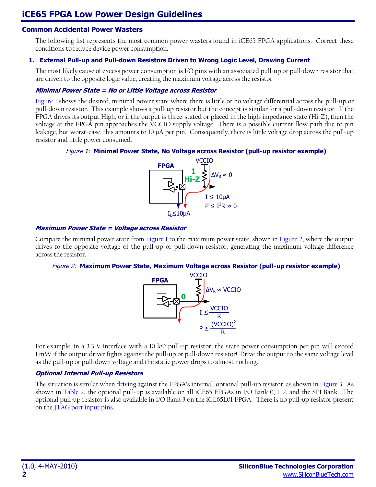#### **Common Accidental Power Wasters**

The following list represents the most common power wasters found in iCE65 FPGA applications. Correct these conditions to reduce device power consumption.

#### **1. External Pull-up and Pull-down Resistors Driven to Wrong Logic Level, Drawing Current**

The most likely cause of excess power consumption is I/O pins with an associated pull-up or pull-down resistor that are driven to the opposite logic value, creating the maximum voltage across the resistor.

#### **Minimal Power State = No or Little Voltage across Resistor**

[Figure 1](#page-1-0) shows the desired, minimal power state where there is little or no voltage differential across the pull-up or pull-down resistor. This example shows a pull-up resistor but the concept is similar for a pull-down resistor. If the FPGA drives its output High, or if the output is three-stated or placed in the high-impedance state (Hi-Z), then the voltage at the FPGA pin approaches the VCCIO supply voltage. There is a possible current flow path due to pin leakage, but worst-case, this amounts to 10 µA per pin. Consequently, there is little voltage drop across the pull-up resistor and little power consumed.

#### <span id="page-1-0"></span>Figure 1: **Minimal Power State, No Voltage across Resistor (pull-up resistor example)**



#### **Maximum Power State = Voltage across Resistor**

<span id="page-1-1"></span>Compare the minimal power state from [Figure 1](#page-1-0) to the maximum power state, shown in [Figure 2,](#page-1-1) where the output drives to the opposite voltage of the pull-up or pull-down resistor, generating the maximum voltage difference across the resistor.

#### Figure 2: **Maximum Power State, Maximum Voltage across Resistor (pull-up resistor example)**



For example, in a 3.3 V interface with a 10 kΩ pull-up resistor, the state power consumption per pin will exceed 1 mW if the output driver fights against the pull-up or pull-down resistor! Drive the output to the same voltage level as the pull-up or pull-down voltage and the static power drops to almost nothing.

#### **Optional Internal Pull-up Resistors**

The situation is similar when driving against the FPGA's internal, optional pull-up resistor, as shown in [Figure 3.](#page-2-0) As shown in [Table 2,](#page-2-1) the optional pull-up is available on all iCE65 FPGAs in I/O Bank 0, 1, 2, and the SPI Bank. The optional pull-up resistor is also available in I/O Bank 3 on the iCE65L01 FPGA. There is no pull-up resistor present on the [JTAG port input pins.](#page-3-0)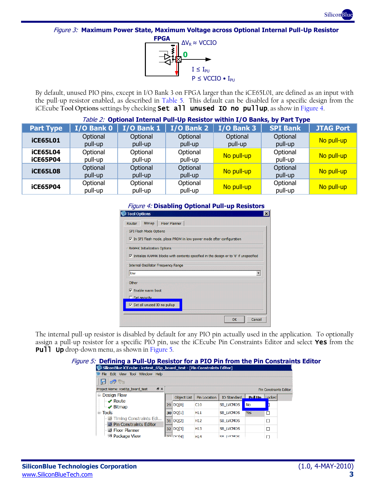

<span id="page-2-0"></span>Figure 3: **Maximum Power State, Maximum Voltage across Optional Internal Pull-Up Resistor**



By default, unused PIO pins, except in I/O Bank 3 on FPGA larger than the iCE65L01, are defined as an input with the pull-up resistor enabled, as described in [Table 5.](#page-4-0) This default can be disabled for a specific design from the iCEcube **Tool Options** settings by checking Set all unused IO no pullup, as show i[n Figure 4.](#page-2-2)

<span id="page-2-2"></span><span id="page-2-1"></span>

| Table 2: Optional Internal Pull-Up Resistor within I/O Banks, by Part Type |                     |                     |                     |                     |                     |                  |
|----------------------------------------------------------------------------|---------------------|---------------------|---------------------|---------------------|---------------------|------------------|
| <b>Part Type</b>                                                           | I/O Bank 0          | $I/O$ Bank 1        | $I/O$ Bank 2        | $I/O$ Bank 3        | <b>SPI Bank</b>     | <b>JTAG Port</b> |
| <b>iCE65L01</b>                                                            | Optional<br>pull-up | Optional<br>pull-up | Optional<br>pull-up | Optional<br>pull-up | Optional<br>pull-up | No pull-up       |
| <b>iCE65L04</b><br><b>iCE65P04</b>                                         | Optional<br>pull-up | Optional<br>pull-up | Optional<br>pull-up | No pull-up          | Optional<br>pull-up | No pull-up       |
| <b>iCE65L08</b>                                                            | Optional<br>pull-up | Optional<br>pull-up | Optional<br>pull-up | No pull-up          | Optional<br>pull-up | No pull-up       |
| <b>iCE65P04</b>                                                            | Optional<br>pull-up | Optional<br>pull-up | Optional<br>pull-up | No pull-up          | Optional<br>pull-up | No pull-up       |

#### Figure 4: **Disabling Optional Pull-up Resistors**

| <b>Tool Options</b> |                                     |                                      |                                                                       |                                                                                                        | ×      |
|---------------------|-------------------------------------|--------------------------------------|-----------------------------------------------------------------------|--------------------------------------------------------------------------------------------------------|--------|
| Router              | <b>Bitmap</b>                       | <b>Floor Planner</b>                 |                                                                       |                                                                                                        |        |
|                     | SPI Flash Mode Options              |                                      |                                                                       |                                                                                                        |        |
|                     |                                     |                                      | Ⅳ In SPI Flash mode, place PROM in low-power mode after configuration |                                                                                                        |        |
|                     | <b>RAM4K Initialization Options</b> |                                      |                                                                       |                                                                                                        |        |
|                     |                                     |                                      |                                                                       | $\triangledown$ Initialize RAM4K blocks with contents specified in the design or to '0' if unspecified |        |
|                     |                                     | Internal Oscillator Frequency Range  |                                                                       |                                                                                                        |        |
| low                 |                                     |                                      |                                                                       |                                                                                                        |        |
| Other               |                                     |                                      |                                                                       |                                                                                                        |        |
|                     | $\nabla$ Enable warm boot           |                                      |                                                                       |                                                                                                        |        |
|                     | $\Gamma$ Set security               |                                      |                                                                       |                                                                                                        |        |
|                     |                                     | $\nabla$ Set all unused IO no pullup |                                                                       |                                                                                                        |        |
|                     |                                     |                                      |                                                                       |                                                                                                        |        |
|                     |                                     |                                      |                                                                       | OK                                                                                                     | Cancel |

The internal pull-up resistor is disabled by default for any PIO pin actually used in the application. To optionally assign a pull-up resistor for a specific PIO pin, use the iCEcube Pin Constraints Editor and select Yes from the **Pull Up** drop-down menu, as shown in [Figure 5.](#page-2-3)

#### <span id="page-2-3"></span>Figure 5: **Defining a Pull-Up Resistor for a PIO Pin from the Pin Constraints Editor**

| SiliconBlue iCEcube : icetest 65p board test - [Pin Constraints Editor] |    |                    |                     |                  |                       |                               |
|-------------------------------------------------------------------------|----|--------------------|---------------------|------------------|-----------------------|-------------------------------|
| File Edit View Tool Window Help                                         |    |                    |                     |                  |                       |                               |
|                                                                         |    |                    |                     |                  |                       |                               |
| <b>B</b> X<br>Project Name: ice65p_board_test                           |    |                    |                     |                  |                       | <b>Pin Constraints Editor</b> |
| <b>E</b> Design Flow                                                    |    | <b>Object List</b> | <b>Pin Location</b> | IO Standard      | <b>Pull Up Locked</b> |                               |
| $\rightarrow$ Route<br>$\blacktriangleright\mathscr{P}$ Bitmap          | 29 | DQ[0]              | C10                 | <b>SB LVCMOS</b> | <b>No</b>             |                               |
| $\Box$ Tools                                                            |    | 30 DQ[1]           | H <sub>11</sub>     | <b>SB LVCMOS</b> | <b>Yes</b>            |                               |
| - <b>B</b> Timing Constraints Edi<br>Pin Constraints Editor             |    | 31  DQ[2]          | H <sub>12</sub>     | <b>SB LVCMOS</b> |                       |                               |
| Floor Planner                                                           |    | 32 DQ[3]           | H <sub>13</sub>     | <b>SB LVCMOS</b> |                       |                               |
| <b>RAN Package View</b>                                                 |    |                    | H <sub>14</sub>     | <b>SR IVEMOS</b> |                       |                               |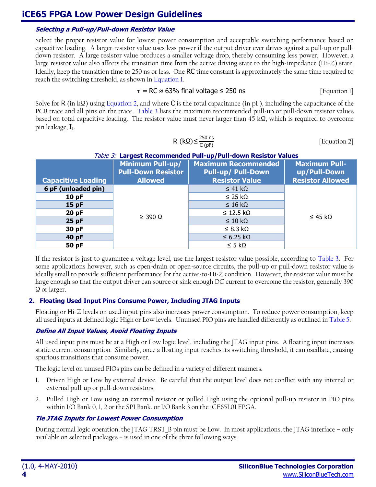#### **Selecting a Pull-up/Pull-down Resistor Value**

Select the proper resistor value for lowest power consumption and acceptable switching performance based on capacitive loading. A larger resistor value uses less power if the output driver ever drives against a pull-up or pulldown resistor. A large resistor value produces a smaller voltage drop, thereby consuming less power. However, a large resistor value also affects the transition time from the active driving state to the high-impedance (Hi-Z) state. Ideally, keep the transition time to 250 ns or less. One RC time constant is approximately the same time required to reach the switching threshold, as shown i[n Equation 1.](#page-3-1)

$$
\tau = RC \approx 63\% \text{ final voltage} \le 250 \text{ ns}
$$
 [Equation 1]

Solve for R (in kΩ) using [Equation 2,](#page-3-2) and where C is the total capacitance (in pF), including the capacitance of the PCB trace and all pins on the trace. [Table 3](#page-3-3) lists the maximum recommended pull-up or pull-down resistor values based on total capacitive loading. The resistor value must never larger than 45 kΩ, which is required to overcome pin leakage, IL.

<span id="page-3-2"></span><span id="page-3-1"></span>
$$
R (k\Omega) \le \frac{250 \text{ ns}}{C (pF)}
$$
 [Equation 2]

#### Table 3: **Largest Recommended Pull-up/Pull-down Resistor Values**

<span id="page-3-3"></span>

|                           | <b>Minimum Pull-up/</b><br><b>Pull-Down Resistor</b> | <b>Maximum Recommended</b><br><b>Pull-up/ Pull-Down</b> | <b>Maximum Pull-</b><br>up/Pull-Down |
|---------------------------|------------------------------------------------------|---------------------------------------------------------|--------------------------------------|
| <b>Capacitive Loading</b> | <b>Allowed</b>                                       | <b>Resistor Value</b>                                   | <b>Resistor Allowed</b>              |
| 6 pF (unloaded pin)       |                                                      | $\leq$ 41 kΩ                                            |                                      |
| 10pF                      |                                                      | $\leq$ 25 k $\Omega$                                    |                                      |
| 15pF                      | $\geq$ 390 $\Omega$                                  | $\leq 16$ kΩ                                            |                                      |
| 20pF                      |                                                      | $\leq$ 12.5 kΩ                                          | $\leq$ 45 k $\Omega$                 |
| $25$ pF                   |                                                      | $\leq 10$ kΩ                                            |                                      |
| 30 pF                     |                                                      | $\leq$ 8.3 kΩ                                           |                                      |
| 40 pF                     |                                                      | $\leq$ 6.25 kΩ                                          |                                      |
| 50 pF                     |                                                      | $\leq$ 5 k $\Omega$                                     |                                      |

If the resistor is just to guarantee a voltage level, use the largest resistor value possible, according to [Table 3.](#page-3-3) For some applications however, such as open-drain or open-source circuits, the pull-up or pull-down resistor value is ideally small to provide sufficient performance for the active-to-Hi-Z condition. However, the resistor value must be large enough so that the output driver can source or sink enough DC current to overcome the resistor, generally 390 Ω or larger.

#### **2. Floating Used Input Pins Consume Power, Including JTAG Inputs**

Floating or Hi-Z levels on used input pins also increases power consumption. To reduce power consumption, keep all used inputs at defined logic High or Low levels. Ununsed PIO pins are handled differently as outlined i[n Table 5.](#page-4-0)

#### **Define All Input Values, Avoid Floating Inputs**

All used input pins must be at a High or Low logic level, including the JTAG input pins. A floating input increases static current consumption. Similarly, once a floating input reaches its switching threshold, it can oscillate, causing spurious transitions that consume power.

The logic level on unused PIOs pins can be defined in a variety of different manners.

- 1. Driven High or Low by external device. Be careful that the output level does not conflict with any internal or external pull-up or pull-down resistors.
- 2. Pulled High or Low using an external resistor or pulled High using the optional pull-up resistor in PIO pins within I/O Bank 0, 1, 2 or the SPI Bank, or I/O Bank 3 on the iCE65L01 FPGA.

#### <span id="page-3-0"></span>**Tie JTAG Inputs for Lowest Power Consumption**

During normal logic operation, the JTAG TRST B pin must be Low. In most applications, the JTAG interface – only available on selected packages – is used in one of the three following ways.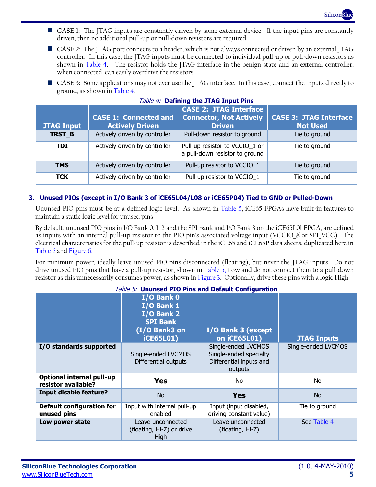

- **CASE 1:** The JTAG inputs are constantly driven by some external device. If the input pins are constantly driven, then no additional pull-up or pull-down resistors are required.
- **CASE 2**: The JTAG port connects to a header, which is not always connected or driven by an external JTAG controller. In this case, the JTAG inputs must be connected to individual pull-up or pull-down resistors as shown in [Table 4.](#page-4-1) The resistor holds the JTAG interface in the benign state and an external controller, when connected, can easily overdrive the resistors.
- **CASE 3:** Some applications may not ever use the JTAG interface. In this case, connect the inputs directly to ground, as shown in [Table 4.](#page-4-1)

<span id="page-4-1"></span>

|                   |                                                        | <b>CASE 2: JTAG Interface</b>                                    |                                                  |
|-------------------|--------------------------------------------------------|------------------------------------------------------------------|--------------------------------------------------|
| <b>JTAG Input</b> | <b>CASE 1: Connected and</b><br><b>Actively Driven</b> | <b>Connector, Not Actively</b><br><b>Driven</b>                  | <b>CASE 3: JTAG Interface</b><br><b>Not Used</b> |
| TRST B            | Actively driven by controller                          | Pull-down resistor to ground                                     | Tie to ground                                    |
| TDI               | Actively driven by controller                          | Pull-up resistor to VCCIO_1 or<br>a pull-down resistor to ground | Tie to ground                                    |
| <b>TMS</b>        | Actively driven by controller                          | Pull-up resistor to VCCIO_1                                      | Tie to ground                                    |
| <b>TCK</b>        | Actively driven by controller                          | Pull-up resistor to VCCIO_1                                      | Tie to ground                                    |

### Table 4: **Defining the JTAG Input Pins**

#### <span id="page-4-2"></span>**3. Unused PIOs (except in I/O Bank 3 of iCE65L04/L08 or iCE65P04) Tied to GND or Pulled-Down**

Ununsed PIO pins must be at a defined logic level. As shown in [Table 5,](#page-4-0) iCE65 FPGAs have built-in features to maintain a static logic level for unused pins.

By default, ununsed PIO pins in I/O Bank 0, 1, 2 and the SPI bank and I/O Bank 3 on the iCE65L01 FPGA, are defined as inputs with an internal pull-up resistor to the PIO pin's associated voltage input (VCCIO  $\#$  or SPI\_VCC). The electrical characteristics for the pull-up resistor is described in the iCE65 and iCE65P data sheets, duplicated here in [Table 6](#page-5-0) and [Figure 6.](#page-5-1)

For minimum power, ideally leave unused PIO pins disconnected (floating), but never the JTAG inputs. Do not drive unused PIO pins that have a pull-up resistor, shown in [Table 5,](#page-4-0) Low and do not connect them to a pull-down resistor as this unnecessarily consumes power, as shown in [Figure 3.](#page-2-0) Optionally, drive these pins with a logic High.

#### Table 5: **Ununsed PIO Pins and Default Configuration**

<span id="page-4-0"></span>

|                                                         | I/O Bank 0<br>I/O Bank 1<br>I/O Bank 2<br><b>SPI Bank</b><br>(I/O Bank3 on<br><b>iCE65L01)</b> | I/O Bank 3 (except<br>on iCE65L01)                                                  | <b>JTAG Inputs</b> |
|---------------------------------------------------------|------------------------------------------------------------------------------------------------|-------------------------------------------------------------------------------------|--------------------|
| I/O standards supported                                 | Single-ended LVCMOS<br>Differential outputs                                                    | Single-ended LVCMOS<br>Single-ended specialty<br>Differential inputs and<br>outputs |                    |
| <b>Optional internal pull-up</b><br>resistor available? | <b>Yes</b>                                                                                     | No.                                                                                 | No.                |
| <b>Input disable feature?</b>                           | <b>No</b>                                                                                      | <b>Yes</b>                                                                          | No.                |
| <b>Default configuration for</b><br>unused pins         | Input with internal pull-up<br>enabled                                                         | Input (input disabled,<br>driving constant value)                                   | Tie to ground      |
| Low power state                                         | Leave unconnected<br>(floating, Hi-Z) or drive<br>High                                         | Leave unconnected<br>(floating, Hi-Z)                                               | See Table 4        |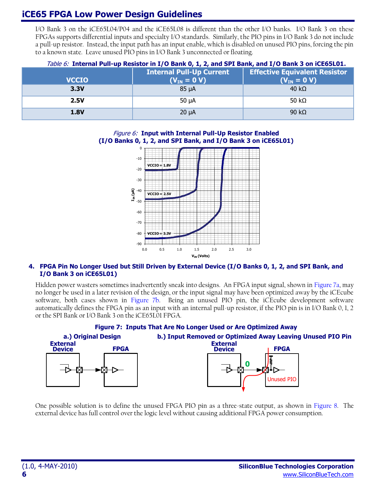# **iCE65 FPGA Low Power Design Guidelines**

I/O Bank 3 on the iCE65L04/P04 and the iCE65L08 is different than the other I/O banks. I/O Bank 3 on these FPGAs supports differential inputs and specialty I/O standards. Similarly, the PIO pins in I/O Bank 3 do not include a pull-up resistor. Instead, the input path has an input enable, which is disabled on unused PIO pins, forcing the pin to a known state. Leave unused PIO pins in I/O Bank 3 unconnected or floating.

<span id="page-5-1"></span><span id="page-5-0"></span>

|              | <i>(able 6:</i> Internal Pull-up Resistor in I/O Bank 0, 1, 2, and SPI Bank, and I/O Bank 3 on ICE65L01. |                                      |  |  |  |  |
|--------------|----------------------------------------------------------------------------------------------------------|--------------------------------------|--|--|--|--|
|              | <b>Internal Pull-Up Current</b>                                                                          | <b>Effective Equivalent Resistor</b> |  |  |  |  |
| <b>VCCIO</b> | $(V_{IN} = 0 V)$                                                                                         | $(V_{IN} = 0 V)$                     |  |  |  |  |
| 3.3V         | 85 <sub>uA</sub>                                                                                         | $40 \text{ k}\Omega$                 |  |  |  |  |
| <b>2.5V</b>  | $50 \mu A$                                                                                               | 50 k $\Omega$                        |  |  |  |  |
| <b>1.8V</b>  | $20 \mu A$                                                                                               | 90 k $\Omega$                        |  |  |  |  |

#### Table 6: **Internal Pull-up Resistor in I/O Bank 0, 1, 2, and SPI Bank, and I/O Bank 3 on iCE65L01.**

#### Figure 6: **Input with Internal Pull-Up Resistor Enabled (I/O Banks 0, 1, 2, and SPI Bank, and I/O Bank 3 on iCE65L01)**



#### **4. FPGA Pin No Longer Used but Still Driven by External Device (I/O Banks 0, 1, 2, and SPI Bank, and I/O Bank 3 on iCE65L01)**

Hidden power wasters sometimes inadvertently sneak into designs. An FPGA input signal, shown i[n Figure 7a](#page-5-2), may no longer be used in a later revision of the design, or the input signal may have been optimized away by the iCEcube software, both cases shown in [Figure 7b](#page-5-2). Being an unused PIO pin, the iCEcube development software automatically defines the FPGA pin as an input with an internal pull-up resistor, if the PIO pin is in I/O Bank 0, 1, 2 or the SPI Bank or I/O Bank 3 on the iCE65L01 FPGA.

<span id="page-5-2"></span>

One possible solution is to define the unused FPGA PIO pin as a three-state output, as shown in [Figure 8.](#page-6-0) The external device has full control over the logic level without causing additional FPGA power consumption.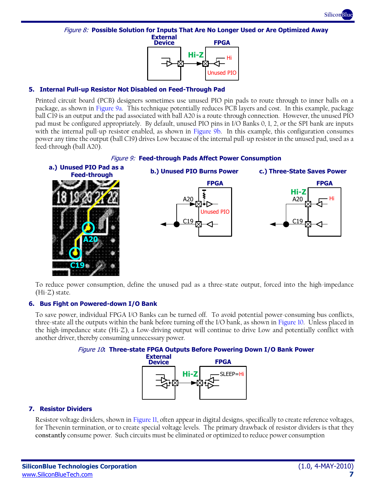

<span id="page-6-0"></span>Figure 8: **Possible Solution for Inputs That Are No Longer Used or Are Optimized Away External**



#### **5. Internal Pull-up Resistor Not Disabled on Feed-Through Pad**

Printed circuit board (PCB) designers sometimes use unused PIO pin pads to route through to inner balls on a package, as shown in [Figure 9a](#page-6-1). This technique potentially reduces PCB layers and cost. In this example, package ball C19 is an output and the pad associated with ball A20 is a route-through connection. However, the unused PIO pad must be configured appropriately. By default, unused PIO pins in I/O Banks 0, 1, 2, or the SPI bank are inputs with the internal pull-up resistor enabled, as shown in [Figure 9b](#page-6-1). In this example, this configuration consumes power any time the output (ball C19) drives Low because of the internal pull-up resistor in the unused pad, used as a feed-through (ball A20).



<span id="page-6-1"></span>

To reduce power consumption, define the unused pad as a three-state output, forced into the high-impedance  $(Hi-Z)$  state.

#### **6. Bus Fight on Powered-down I/O Bank**

<span id="page-6-2"></span>To save power, individual FPGA I/O Banks can be turned off. To avoid potential power-consuming bus conflicts, three-state all the outputs within the bank before turning off the I/O bank, as shown in [Figure 10.](#page-6-2) Unless placed in the high-impedance state (Hi-Z), a Low-driving output will continue to drive Low and potentially conflict with another driver, thereby consuming unnecessary power.

Figure 10**: Three-state FPGA Outputs Before Powering Down I/O Bank Power**



#### **7. Resistor Dividers**

Resistor voltage dividers, shown i[n Figure 11,](#page-7-0) often appear in digital designs, specifically to create reference voltages, for Thevenin termination, or to create special voltage levels. The primary drawback of resistor dividers is that they **constantly** consume power. Such circuits must be eliminated or optimized to reduce power consumption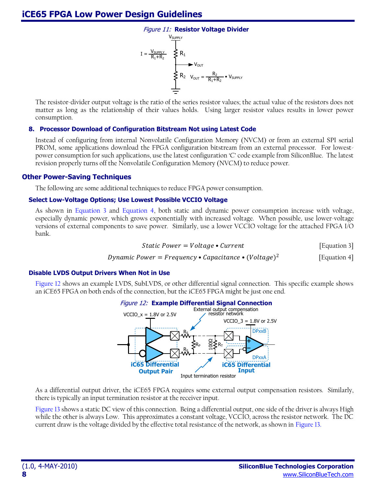

<span id="page-7-0"></span>The resistor-divider output voltage is the ratio of the series resistor values; the actual value of the resistors does not matter as long as the relationship of their values holds. Using larger resistor values results in lower power consumption.

#### **8. Processor Download of Configuration Bitstream Not using Latest Code**

Instead of configuring from internal Nonvolatile Configuration Memory (NVCM) or from an external SPI serial PROM, some applications download the FPGA configuration bitstream from an external processor. For lowestpower consumption for such applications, use the latest configuration 'C' code example from SiliconBlue. The latest revision properly turns off the Nonvolatile Configuration Memory (NVCM) to reduce power.

#### **Other Power-Saving Techniques**

The following are some additional techniques to reduce FPGA power consumption.

#### **Select Low-Voltage Options; Use Lowest Possible VCCIO Voltage**

As shown in [Equation 3](#page-7-1) and [Equation 4,](#page-7-2) both static and dynamic power consumption increase with voltage, especially dynamic power, which grows exponentially with increased voltage. When possible, use lower-voltage versions of external components to save power. Similarly, use a lower VCCIO voltage for the attached FPGA I/O bank.

<span id="page-7-2"></span><span id="page-7-1"></span>**Static Power** = 
$$
Voltage \cdot Current
$$

\n[Equation 3]

*Dynamic Power* = *Frequency* • *Capacitance* • 
$$
(Voltage)^2
$$
 [Equation 4]

#### **Disable LVDS Output Drivers When Not in Use**

<span id="page-7-3"></span>[Figure 12](#page-7-3) shows an example LVDS, SubLVDS, or other differential signal connection. This specific example shows an iCE65 FPGA on both ends of the connection, but the iCE65 FPGA might be just one end.



As a differential output driver, the iCE65 FPGA requires some external output compensation resistors. Similarly, there is typically an input termination resistor at the receiver input.

[Figure 13](#page-8-0) shows a static DC view of this connection. Being a differential output, one side of the driver is always High while the other is always Low. This approximates a constant voltage, VCCIO, across the resistor network. The DC current draw is the voltage divided by the effective total resistance of the network, as shown in [Figure 13.](#page-8-0)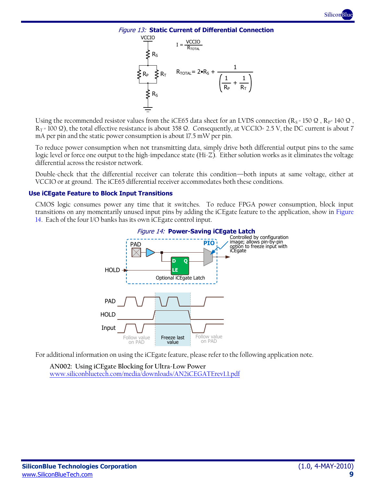

<span id="page-8-0"></span>

Using the recommended resistor values from the iCE65 data sheet for an LVDS connection ( $R_s$  = 150  $\Omega$ ,  $R_P$ = 140  $\Omega$ ,  $R_T$  = 100  $\Omega$ ), the total effective resistance is about 358  $\Omega$ . Consequently, at VCCIO= 2.5 V, the DC current is about 7 mA per pin and the static power consumption is about 17.5 mW per pin.

To reduce power consumption when not transmitting data, simply drive both differential output pins to the same logic level or force one output to the high-impedance state (Hi-Z). Either solution works as it eliminates the voltage differential across the resistor network.

Double-check that the differential receiver can tolerate this condition—both inputs at same voltage, either at VCCIO or at ground. The iCE65 differential receiver accommodates both these conditions.

#### **Use iCEgate Feature to Block Input Transitions**

<span id="page-8-1"></span>CMOS logic consumes power any time that it switches. To reduce FPGA power consumption, block input transitions on any momentarily unused input pins by adding the iCEgate feature to the application, show in [Figure](#page-8-1)  [14.](#page-8-1) Each of the four I/O banks has its own iCEgate control input.



For additional information on using the iCEgate feature, please refer to the following application note.

**AN002: Using iCEgate Blocking for Ultra-Low Power** [www.siliconbluetech.com/media/downloads/AN2iCEGATErev1.1.pdf](http://www.siliconbluetech.com/media/downloads/AN2iCEGATErev1.1.pdf)